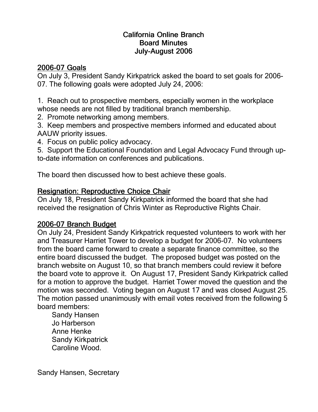## California Online Branch **Board Minutes** July-August 2006

## 2006-07 Goals

On July 3, President Sandy Kirkpatrick asked the board to set goals for 2006- 07. The following goals were adopted July 24, 2006:

1. Reach out to prospective members, especially women in the workplace whose needs are not filled by traditional branch membership.

2. Promote networking among members.

3. Keep members and prospective members informed and educated about AAUW priority issues.

4. Focus on public policy advocacy.

5. Support the Educational Foundation and Legal Advocacy Fund through upto-date information on conferences and publications.

The board then discussed how to best achieve these goals.

## Resignation: Reproductive Choice Chair

On July 18, President Sandy Kirkpatrick informed the board that she had received the resignation of Chris Winter as Reproductive Rights Chair.

## 2006-07 Branch Budget

On July 24, President Sandy Kirkpatrick requested volunteers to work with her and Treasurer Harriet Tower to develop a budget for 2006-07. No volunteers from the board came forward to create a separate finance committee, so the entire board discussed the budget. The proposed budget was posted on the branch website on August 10, so that branch members could review it before the board vote to approve it. On August 17, President Sandy Kirkpatrick called for a motion to approve the budget. Harriet Tower moved the question and the motion was seconded. Voting began on August 17 and was closed August 25. The motion passed unanimously with email votes received from the following 5 board members:

Sandy Hansen Jo Harberson Anne Henke Sandy Kirkpatrick Caroline Wood.

Sandy Hansen, Secretary